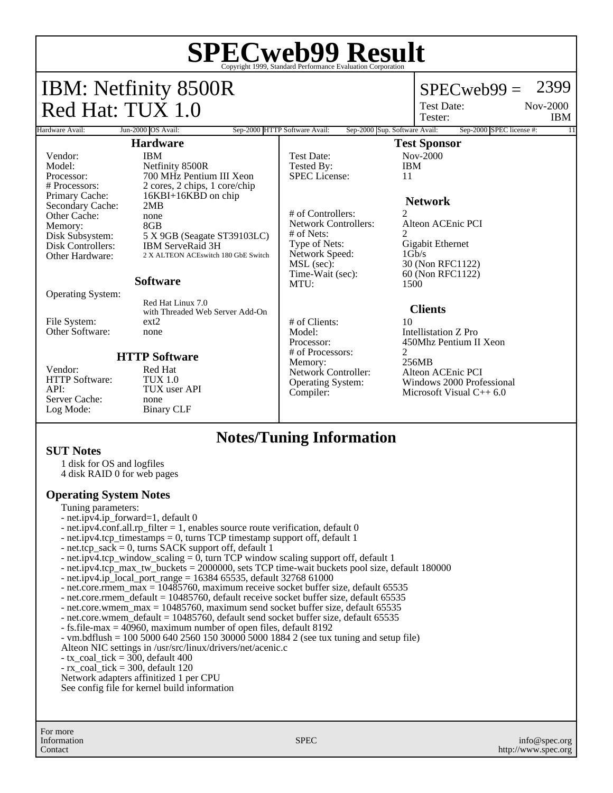| <b>SPECweb99 Result</b><br>© Convright 1999. Standard Performance Evaluation Corporation                                                  |                                                                                                                          |                                                                                                                                       |                                                                                                                                                              |
|-------------------------------------------------------------------------------------------------------------------------------------------|--------------------------------------------------------------------------------------------------------------------------|---------------------------------------------------------------------------------------------------------------------------------------|--------------------------------------------------------------------------------------------------------------------------------------------------------------|
| <b>IBM:</b> Netfinity 8500R                                                                                                               |                                                                                                                          |                                                                                                                                       | 2399<br>$SPECweb99 =$                                                                                                                                        |
| Red Hat: TUX 1.0                                                                                                                          |                                                                                                                          |                                                                                                                                       | <b>Nov-2000</b><br><b>Test Date:</b><br>Tester:<br><b>IBM</b>                                                                                                |
| Jun-2000 OS Avail:<br>Sep-2000 SPEC license #:<br>Sep-2000 HTTP Software Avail:<br>Sep-2000 Sup. Software Avail:<br>Hardware Avail:<br>11 |                                                                                                                          |                                                                                                                                       |                                                                                                                                                              |
| <b>Hardware</b>                                                                                                                           |                                                                                                                          | <b>Test Sponsor</b>                                                                                                                   |                                                                                                                                                              |
| Vendor:<br>Model:<br>Processor:<br># Processors:<br>Primary Cache:                                                                        | <b>IBM</b><br>Netfinity 8500R<br>700 MHz Pentium III Xeon<br>2 cores, 2 chips, 1 core/chip<br>16KBI+16KBD on chip        | <b>Test Date:</b><br>Tested By:<br><b>SPEC</b> License:                                                                               | $Nov-2000$<br><b>IBM</b><br>11                                                                                                                               |
| Secondary Cache:<br>Other Cache:<br>Memory:<br>Disk Subsystem:<br>Disk Controllers:<br>Other Hardware:                                    | 2MB<br>none<br>8 <sub>GB</sub><br>5 X 9GB (Seagate ST39103LC)<br>IBM ServeRaid 3H<br>2 X ALTEON ACEswitch 180 GbE Switch | # of Controllers:<br><b>Network Controllers:</b><br>$#$ of Nets:<br>Type of Nets:<br>Network Speed:<br>MSL (sec):<br>Time-Wait (sec): | <b>Network</b><br>$\mathfrak{D}$<br>Alteon ACEnic PCI<br>$\mathcal{D}_{\mathcal{L}}$<br>Gigabit Ethernet<br>$1$ Gb/s<br>30 (Non RFC1122)<br>60 (Non RFC1122) |
|                                                                                                                                           | <b>Software</b>                                                                                                          | MTU:                                                                                                                                  | 1500                                                                                                                                                         |
| <b>Operating System:</b><br>File System:                                                                                                  | Red Hat Linux 7.0<br>with Threaded Web Server Add-On<br>ext2                                                             | # of Clients:                                                                                                                         | <b>Clients</b><br>10                                                                                                                                         |
| Other Software:<br>none<br><b>HTTP Software</b>                                                                                           |                                                                                                                          | Model:<br>Processor:<br># of Processors:                                                                                              | Intellistation Z Pro<br>450Mhz Pentium II Xeon<br>2<br>256MB                                                                                                 |
| Vendor:<br><b>HTTP</b> Software:<br>API:<br>Server Cache:<br>Log Mode:                                                                    | Red Hat<br><b>TUX 1.0</b><br>TUX user API<br>none<br>Binary CLF                                                          | Memory:<br>Network Controller:<br>Operating System:<br>Compiler:                                                                      | Alteon ACEnic PCI<br>Windows 2000 Professional<br>Microsoft Visual C++ 6.0                                                                                   |

## **Notes/Tuning Information**

#### **SUT Notes**

1 disk for OS and logfiles

4 disk RAID 0 for web pages

### **Operating System Notes**

- Tuning parameters:
- net.ipv4.ip\_forward=1, default 0
- net.ipv4.conf.all.rp\_filter = 1, enables source route verification, default 0
- net.ipv4.tcp\_timestamps = 0, turns TCP timestamp support off, default 1
- net.tcp\_sack = 0, turns SACK support off, default  $1$
- net.ipv4.tcp\_window\_scaling  $= 0$ , turn TCP window scaling support off, default 1
- net.ipv4.tcp\_max\_tw\_buckets = 2000000, sets TCP time-wait buckets pool size, default 180000
- net.ipv4.ip\_local\_port\_range = 16384 65535, default 32768 61000
- net.core.rmem\_max = 10485760, maximum receive socket buffer size, default 65535
- net.core.rmem\_default = 10485760, default receive socket buffer size, default 65535
- net.core.wmem\_max = 10485760, maximum send socket buffer size, default 65535
- net.core.wmem\_default = 10485760, default send socket buffer size, default 65535
- fs.file-max = 40960, maximum number of open files, default 8192
- vm.bdflush = 100 5000 640 2560 150 30000 5000 1884 2 (see tux tuning and setup file)
- Alteon NIC settings in /usr/src/linux/drivers/net/acenic.c
- tx\_coal\_tick = 300, default  $400$
- rx\_coal\_tick = 300, default 120
- Network adapters affinitized 1 per CPU See config file for kernel build information

For more Information Contact